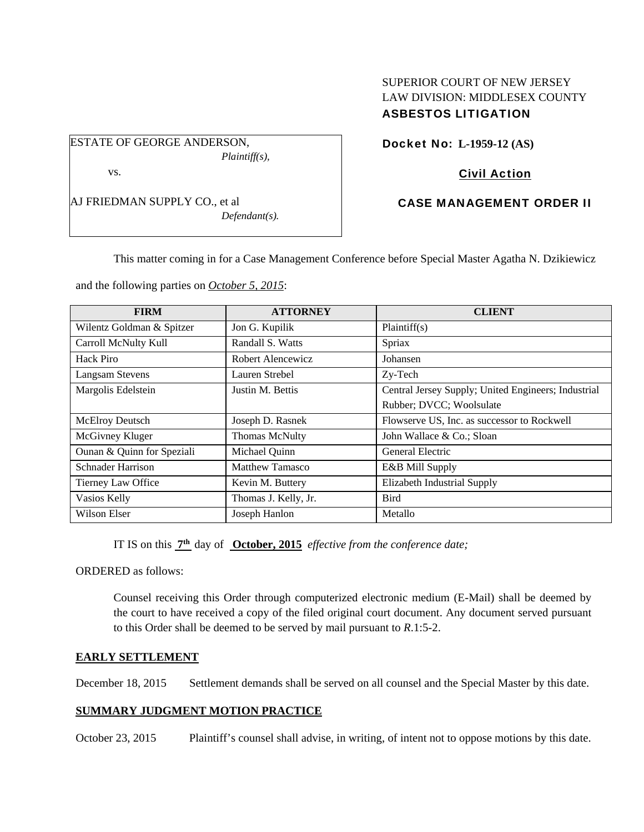ESTATE OF GEORGE ANDERSON, *Plaintiff(s),* 

vs.

AJ FRIEDMAN SUPPLY CO., et al *Defendant(s).* 

SUPERIOR COURT OF NEW JERSEY LAW DIVISION: MIDDLESEX COUNTY ASBESTOS LITIGATION

Docket No: **L-1959-12 (AS)** 

# Civil Action

# CASE MANAGEMENT ORDER II

This matter coming in for a Case Management Conference before Special Master Agatha N. Dzikiewicz

and the following parties on *October 5, 2015*:

| <b>FIRM</b>                | <b>ATTORNEY</b>       | <b>CLIENT</b>                                       |
|----------------------------|-----------------------|-----------------------------------------------------|
| Wilentz Goldman & Spitzer  | Jon G. Kupilik        | Plaintiff(s)                                        |
| Carroll McNulty Kull       | Randall S. Watts      | Spriax                                              |
| Hack Piro                  | Robert Alencewicz     | Johansen                                            |
| <b>Langsam Stevens</b>     | Lauren Strebel        | Zy-Tech                                             |
| Margolis Edelstein         | Justin M. Bettis      | Central Jersey Supply; United Engineers; Industrial |
|                            |                       | Rubber; DVCC; Woolsulate                            |
| McElroy Deutsch            | Joseph D. Rasnek      | Flowserve US, Inc. as successor to Rockwell         |
| McGivney Kluger            | <b>Thomas McNulty</b> | John Wallace & Co.; Sloan                           |
| Ounan & Quinn for Speziali | Michael Quinn         | General Electric                                    |
| <b>Schnader Harrison</b>   | Matthew Tamasco       | E&B Mill Supply                                     |
| Tierney Law Office         | Kevin M. Buttery      | Elizabeth Industrial Supply                         |
| Vasios Kelly               | Thomas J. Kelly, Jr.  | <b>Bird</b>                                         |
| Wilson Elser               | Joseph Hanlon         | Metallo                                             |

IT IS on this **7th** day of **October, 2015** *effective from the conference date;*

ORDERED as follows:

Counsel receiving this Order through computerized electronic medium (E-Mail) shall be deemed by the court to have received a copy of the filed original court document. Any document served pursuant to this Order shall be deemed to be served by mail pursuant to *R*.1:5-2.

### **EARLY SETTLEMENT**

December 18, 2015 Settlement demands shall be served on all counsel and the Special Master by this date.

## **SUMMARY JUDGMENT MOTION PRACTICE**

October 23, 2015 Plaintiff's counsel shall advise, in writing, of intent not to oppose motions by this date.